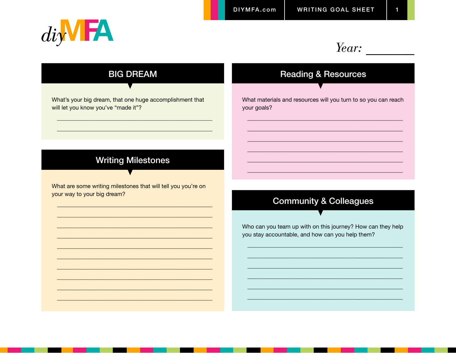

### Year:

## **BIG DREAM**

What's your big dream, that one huge accomplishment that will let you know you've "made it"?

#### **Writing Milestones**

What are some writing milestones that will tell you you're on your way to your big dream?

#### **Reading & Resources**

What materials and resources will you turn to so you can reach your goals?

#### **Community & Colleagues**

Who can you team up with on this journey? How can they help you stay accountable, and how can you help them?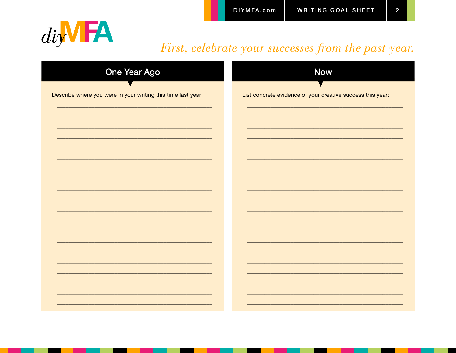$\overline{2}$ 



## First, celebrate your successes from the past year.

| <b>One Year Ago</b>                                          | <b>Now</b>                                                 |
|--------------------------------------------------------------|------------------------------------------------------------|
| Describe where you were in your writing this time last year: | List concrete evidence of your creative success this year: |
|                                                              |                                                            |
|                                                              |                                                            |
|                                                              |                                                            |
|                                                              |                                                            |
|                                                              |                                                            |
|                                                              |                                                            |
|                                                              |                                                            |
|                                                              |                                                            |
|                                                              |                                                            |
|                                                              |                                                            |
|                                                              |                                                            |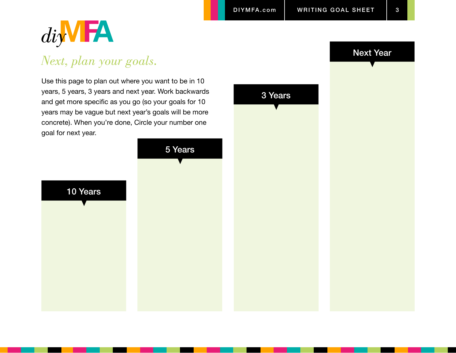

# *Next, plan your goals.*

Use this page to plan out where you want to be in 10 years, 5 years, 3 years and next year. Work backwards and get more specific as you go (so your goals for 10 years may be vague but next year's goals will be more concrete). When you're done, Circle your number one goal for next year.